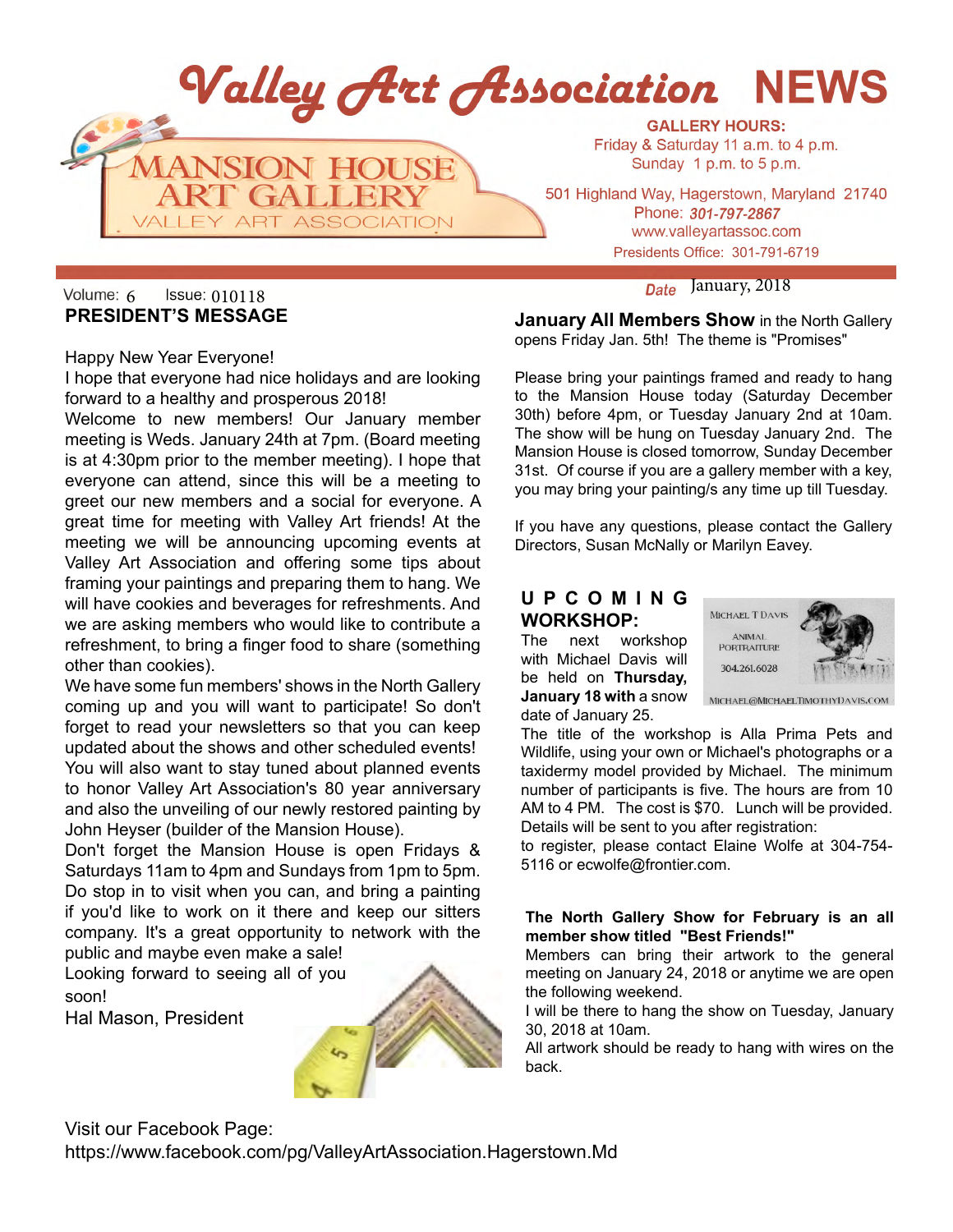

# January, 2018 6 010118 **PRESIDENT'S MESSAGE**

Happy New Year Everyone!

I hope that everyone had nice holidays and are looking forward to a healthy and prosperous 2018!

Welcome to new members! Our January member meeting is Weds. January 24th at 7pm. (Board meeting is at 4:30pm prior to the member meeting). I hope that everyone can attend, since this will be a meeting to greet our new members and a social for everyone. A great time for meeting with Valley Art friends! At the meeting we will be announcing upcoming events at Valley Art Association and offering some tips about framing your paintings and preparing them to hang. We will have cookies and beverages for refreshments. And we are asking members who would like to contribute a refreshment, to bring a finger food to share (something other than cookies).

We have some fun members' shows in the North Gallery coming up and you will want to participate! So don't forget to read your newsletters so that you can keep updated about the shows and other scheduled events! You will also want to stay tuned about planned events to honor Valley Art Association's 80 year anniversary and also the unveiling of our newly restored painting by John Heyser (builder of the Mansion House).

Don't forget the Mansion House is open Fridays & Saturdays 11am to 4pm and Sundays from 1pm to 5pm. Do stop in to visit when you can, and bring a painting if you'd like to work on it there and keep our sitters company. It's a great opportunity to network with the public and maybe even make a sale!

Looking forward to seeing all of you soon!

Hal Mason, President



**January All Members Show** in the North Gallery opens Friday Jan. 5th! The theme is "Promises"

Please bring your paintings framed and ready to hang to the Mansion House today (Saturday December 30th) before 4pm, or Tuesday January 2nd at 10am. The show will be hung on Tuesday January 2nd. The Mansion House is closed tomorrow, Sunday December 31st. Of course if you are a gallery member with a key, you may bring your painting/s any time up till Tuesday.

If you have any questions, please contact the Gallery Directors, Susan McNally or Marilyn Eavey.

### **U P C O M I N G WORKSHOP:**

The next workshop with Michael Davis will be held on **Thursday, January 18 with** a snow date of January 25.



MICHAEL@MICHAELTIMOTHYDAVIS.COM

The title of the workshop is Alla Prima Pets and Wildlife, using your own or Michael's photographs or a taxidermy model provided by Michael. The minimum number of participants is five. The hours are from 10 AM to 4 PM. The cost is \$70. Lunch will be provided. Details will be sent to you after registration:

to register, please contact Elaine Wolfe at 304-754- 5116 or ecwolfe@frontier.com.

### **The North Gallery Show for February is an all member show titled "Best Friends!"**

Members can bring their artwork to the general meeting on January 24, 2018 or anytime we are open the following weekend.

I will be there to hang the show on Tuesday, January 30, 2018 at 10am.

All artwork should be ready to hang with wires on the back.

Visit our Facebook Page: https://www.facebook.com/pg/ValleyArtAssociation.Hagerstown.Md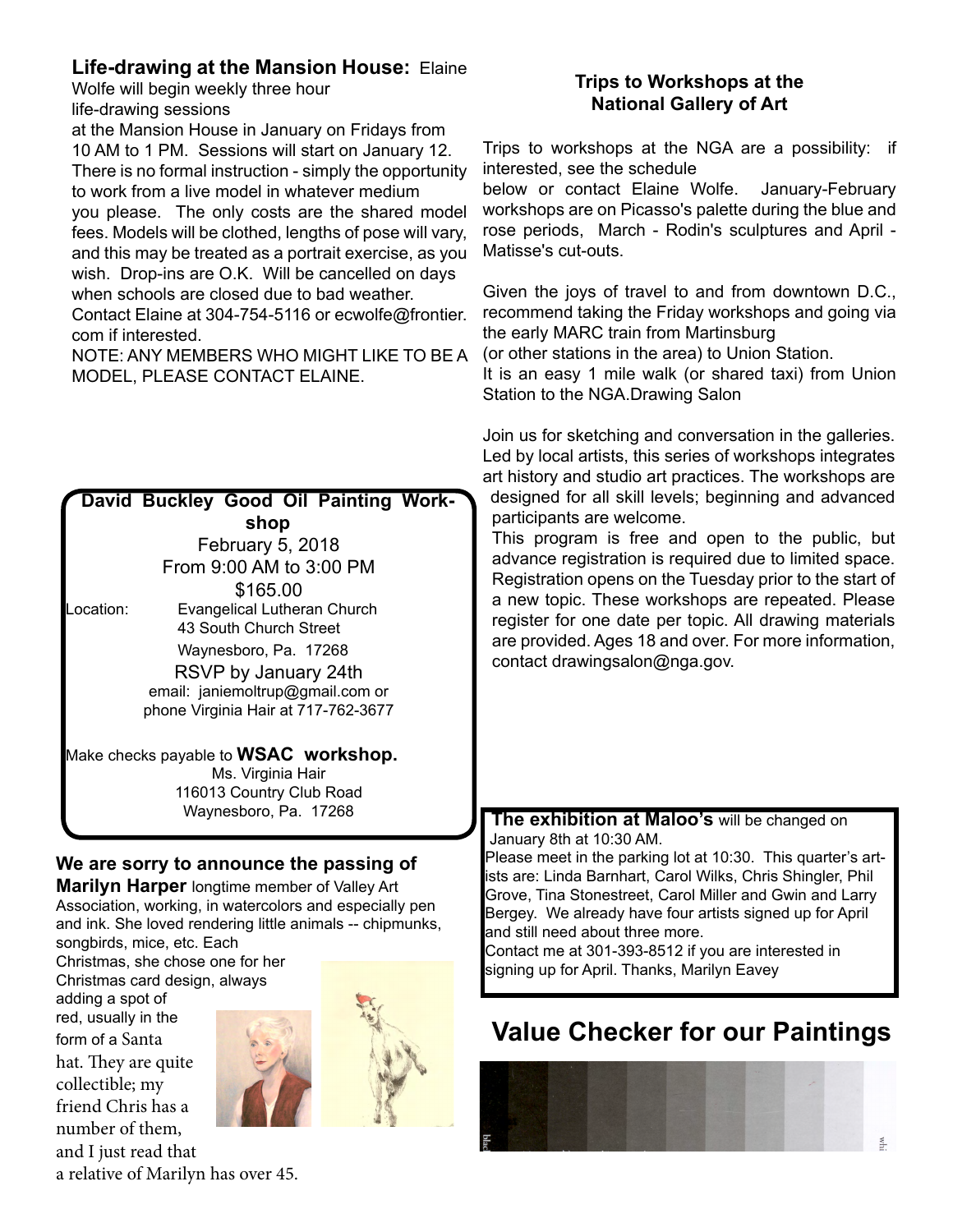# **Life-drawing at the Mansion House:** Elaine

Wolfe will begin weekly three hour life-drawing sessions

at the Mansion House in January on Fridays from 10 AM to 1 PM. Sessions will start on January 12. There is no formal instruction - simply the opportunity to work from a live model in whatever medium you please. The only costs are the shared model fees. Models will be clothed, lengths of pose will vary, and this may be treated as a portrait exercise, as you wish. Drop-ins are O.K. Will be cancelled on days when schools are closed due to bad weather.

Contact Elaine at 304-754-5116 or ecwolfe@frontier. com if interested.

NOTE: ANY MEMBERS WHO MIGHT LIKE TO BE A MODEL, PLEASE CONTACT ELAINE.

|                         | David Buckley Good Oil Painting Work-                        |                          |  |                                     |  |  |  |
|-------------------------|--------------------------------------------------------------|--------------------------|--|-------------------------------------|--|--|--|
| shop                    |                                                              |                          |  |                                     |  |  |  |
|                         |                                                              | February 5, 2018         |  |                                     |  |  |  |
| From 9:00 AM to 3:00 PM |                                                              |                          |  |                                     |  |  |  |
|                         |                                                              | \$165.00                 |  |                                     |  |  |  |
| Location:               | <b>Evangelical Lutheran Church</b><br>43 South Church Street |                          |  |                                     |  |  |  |
|                         | Waynesboro, Pa. 17268                                        |                          |  |                                     |  |  |  |
|                         |                                                              | RSVP by January 24th     |  |                                     |  |  |  |
|                         | email: janiemoltrup@gmail.com or                             |                          |  |                                     |  |  |  |
|                         |                                                              |                          |  | phone Virginia Hair at 717-762-3677 |  |  |  |
|                         | Make checks payable to <b>WSAC</b> workshop.                 | Ms. Virginia Hair        |  |                                     |  |  |  |
|                         |                                                              | 116013 Country Club Road |  |                                     |  |  |  |
|                         |                                                              | Waynesboro, Pa. 17268    |  |                                     |  |  |  |
|                         |                                                              |                          |  |                                     |  |  |  |

# **We are sorry to announce the passing of**

**Marilyn Harper** longtime member of Valley Art Association, working, in watercolors and especially pen and ink. She loved rendering little animals -- chipmunks, songbirds, mice, etc. Each

Christmas, she chose one for her Christmas card design, always

adding a spot of red, usually in the form of a Santa hat. They are quite collectible; my friend Chris has a number of them, and I just read that



### **Trips to Workshops at the National Gallery of Art**

Trips to workshops at the NGA are a possibility: if interested, see the schedule

below or contact Elaine Wolfe. January-February workshops are on Picasso's palette during the blue and rose periods, March - Rodin's sculptures and April - Matisse's cut-outs.

Given the joys of travel to and from downtown D.C., recommend taking the Friday workshops and going via the early MARC train from Martinsburg

(or other stations in the area) to Union Station.

It is an easy 1 mile walk (or shared taxi) from Union Station to the NGA.Drawing Salon

Join us for sketching and conversation in the galleries. Led by local artists, this series of workshops integrates art history and studio art practices. The workshops are designed for all skill levels; beginning and advanced participants are welcome.

This program is free and open to the public, but advance registration is required due to limited space. Registration opens on the Tuesday prior to the start of a new topic. These workshops are repeated. Please register for one date per topic. All drawing materials are provided. Ages 18 and over. For more information, contact drawingsalon@nga.gov.

### **The exhibition at Maloo's** will be changed on January 8th at 10:30 AM.

Please meet in the parking lot at 10:30. This quarter's artists are: Linda Barnhart, Carol Wilks, Chris Shingler, Phil Grove, Tina Stonestreet, Carol Miller and Gwin and Larry Bergey. We already have four artists signed up for April and still need about three more.

Contact me at 301-393-8512 if you are interested in signing up for April. Thanks, Marilyn Eavey

# **Value Checker for our Paintings**



a relative of Marilyn has over 45.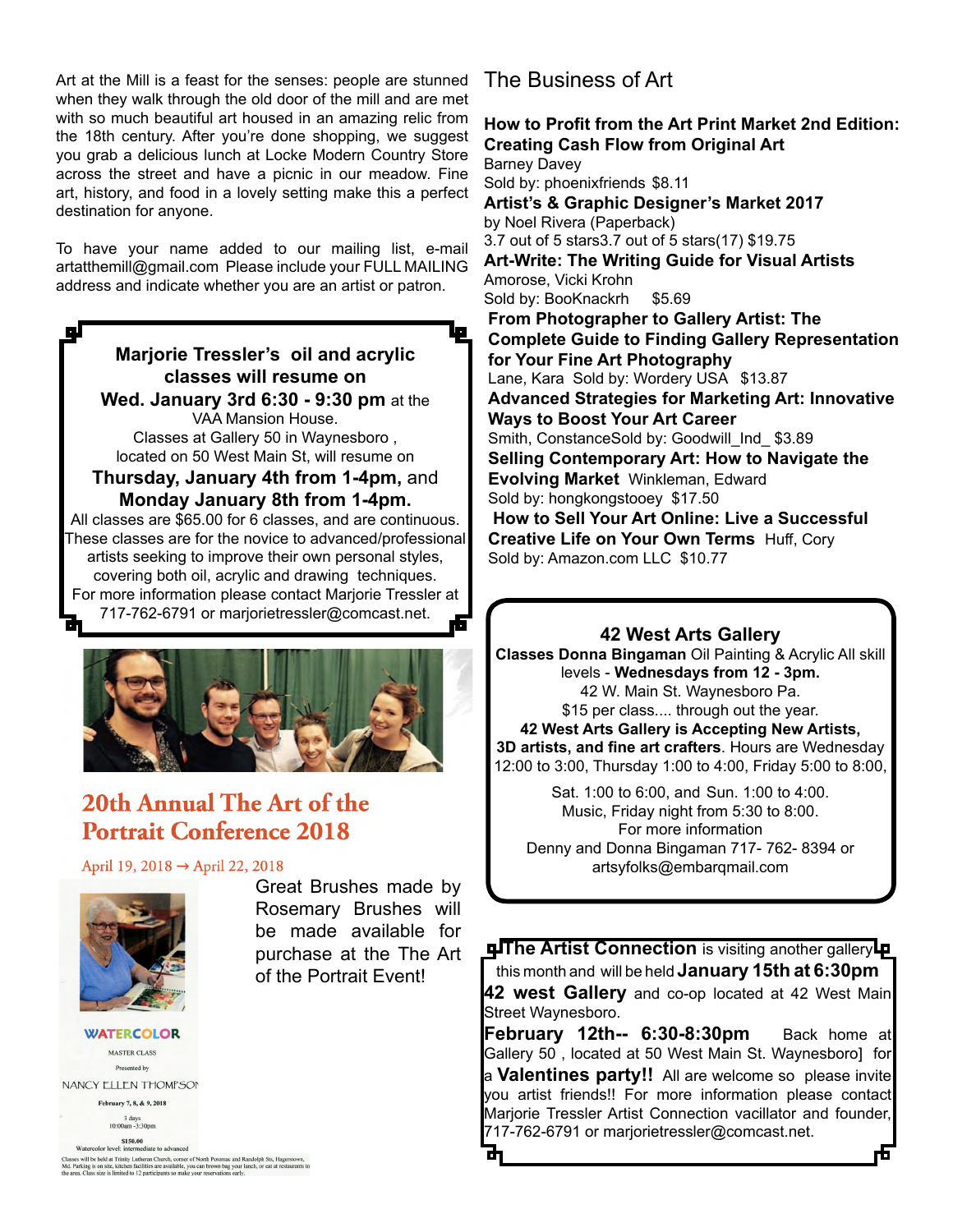Art at the Mill is a feast for the senses: people are stunned when they walk through the old door of the mill and are met with so much beautiful art housed in an amazing relic from the 18th century. After you're done shopping, we suggest you grab a delicious lunch at Locke Modern Country Store across the street and have a picnic in our meadow. Fine art, history, and food in a lovely setting make this a perfect destination for anyone.

To have your name added to our mailing list, e-mail artatthemill@gmail.com Please include your FULL MAILING address and indicate whether you are an artist or patron.

ا چا **Marjorie Tressler's oil and acrylic classes will resume on Wed. January 3rd 6:30 - 9:30 pm** at the VAA Mansion House. Classes at Gallery 50 in Waynesboro , located on 50 West Main St, will resume on **Thursday, January 4th from 1-4pm,** and **Monday January 8th from 1-4pm.**  All classes are \$65.00 for 6 classes, and are continuous. These classes are for the novice to advanced/professional artists seeking to improve their own personal styles, covering both oil, acrylic and drawing techniques. For more information please contact Marjorie Tressler at 717-762-6791 or marjorietressler@comcast.net. 而



# 20th Annual The Art of the **Portrait Conference 2018**

April 19, 2018 → April 22, 2018



**WATERCOLOR** MASTER CLASS Presented by NANCY ELLEN THOMPSON February 7, 8, & 9, 2018  $3 \text{ days}$  10:00am -3:30pm

Great Brushes made by Rosemary Brushes will be made available for purchase at the The Art of the Portrait Event!

# The Business of Art

**How to Profit from the Art Print Market 2nd Edition: Creating Cash Flow from Original Art** Barney Davey Sold by: phoenixfriends \$8.11 **Artist's & Graphic Designer's Market 2017** by Noel Rivera (Paperback) 3.7 out of 5 stars3.7 out of 5 stars(17) \$19.75 **Art-Write: The Writing Guide for Visual Artists** Amorose, Vicki Krohn Sold by: BooKnackrh \$5.69 **From Photographer to Gallery Artist: The Complete Guide to Finding Gallery Representation for Your Fine Art Photography** Lane, Kara Sold by: Wordery USA \$13.87 **Advanced Strategies for Marketing Art: Innovative Ways to Boost Your Art Career** Smith, ConstanceSold by: Goodwill Ind \$3.89 **Selling Contemporary Art: How to Navigate the Evolving Market** Winkleman, Edward Sold by: hongkongstooey \$17.50  **How to Sell Your Art Online: Live a Successful Creative Life on Your Own Terms** Huff, Cory Sold by: Amazon.com LLC \$10.77

### **42 West Arts Gallery**

**Classes Donna Bingaman** Oil Painting & Acrylic All skill levels - **Wednesdays from 12 - 3pm.**  42 W. Main St. Waynesboro Pa. \$15 per class.... through out the year.

**42 West Arts Gallery is Accepting New Artists, 3D artists, and fine art crafters**. Hours are Wednesday 12:00 to 3:00, Thursday 1:00 to 4:00, Friday 5:00 to 8:00,

Sat. 1:00 to 6:00, and Sun. 1:00 to 4:00. Music, Friday night from 5:30 to 8:00. For more information Denny and Donna Bingaman 717- 762- 8394 or artsyfolks@embarqmail.com

**The Artist Connection** is visiting another gallery **p** this month and will be held **January 15th at 6:30pm 42 west Gallery** and co-op located at 42 West Main Street Waynesboro.

**February 12th-- 6:30-8:30pm** Back home at Gallery 50 , located at 50 West Main St. Waynesboro] for a **Valentines party!!** All are welcome so please invite you artist friends!! For more information please contact Marjorie Tressler Artist Connection vacillator and founder, 717-762-6791 or marjorietressler@comcast.net.

S150.00<br>Watercolor level: intermediate to advanced All the belief at Trinity Lutheran Church, comer of North Potomac and Randolph Sts, Hagers<br>2. Parking is on site, kitchen facilities are available, you can brown bag your lunch, or eat at restau<br>2. Parking is on site, kitc